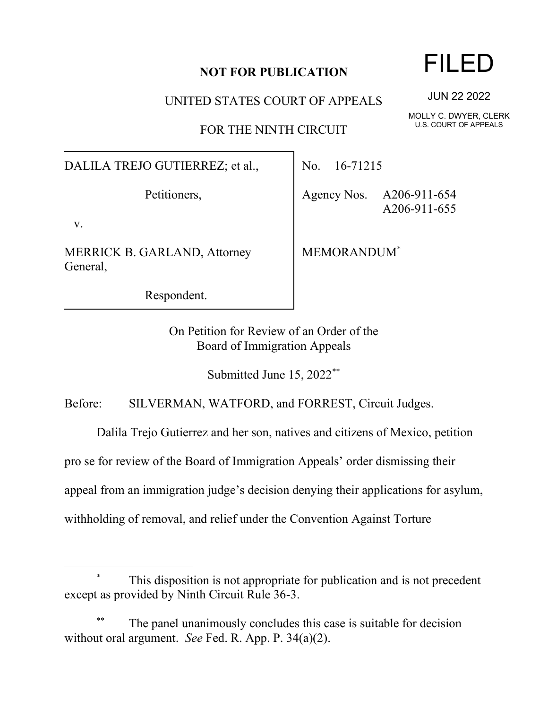## **NOT FOR PUBLICATION**

UNITED STATES COURT OF APPEALS

FOR THE NINTH CIRCUIT

DALILA TREJO GUTIERREZ; et al.,

Petitioners,

v.

MERRICK B. GARLAND, Attorney General,

Respondent.

No. 16-71215

Agency Nos. A206-911-654 A206-911-655

MEMORANDUM\*

On Petition for Review of an Order of the Board of Immigration Appeals

Submitted June 15, 2022\*\*

Before: SILVERMAN, WATFORD, and FORREST, Circuit Judges.

Dalila Trejo Gutierrez and her son, natives and citizens of Mexico, petition

pro se for review of the Board of Immigration Appeals' order dismissing their

appeal from an immigration judge's decision denying their applications for asylum,

withholding of removal, and relief under the Convention Against Torture

This disposition is not appropriate for publication and is not precedent except as provided by Ninth Circuit Rule 36-3.

The panel unanimously concludes this case is suitable for decision without oral argument. *See* Fed. R. App. P. 34(a)(2).

## FILED

JUN 22 2022

MOLLY C. DWYER, CLERK U.S. COURT OF APPEALS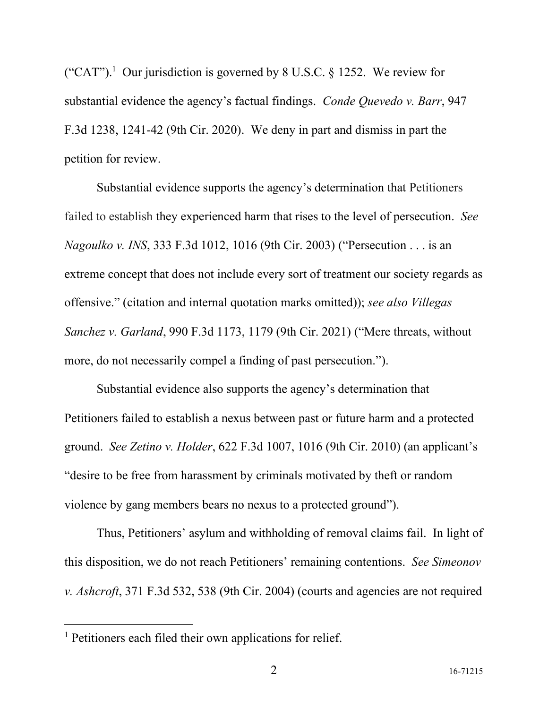("CAT").<sup>1</sup> Our jurisdiction is governed by 8 U.S.C. § 1252. We review for substantial evidence the agency's factual findings. *Conde Quevedo v. Barr*, 947 F.3d 1238, 1241-42 (9th Cir. 2020). We deny in part and dismiss in part the petition for review.

Substantial evidence supports the agency's determination that Petitioners failed to establish they experienced harm that rises to the level of persecution. *See Nagoulko v. INS*, 333 F.3d 1012, 1016 (9th Cir. 2003) ("Persecution . . . is an extreme concept that does not include every sort of treatment our society regards as offensive." (citation and internal quotation marks omitted)); *see also Villegas Sanchez v. Garland*, 990 F.3d 1173, 1179 (9th Cir. 2021) ("Mere threats, without more, do not necessarily compel a finding of past persecution.").

Substantial evidence also supports the agency's determination that Petitioners failed to establish a nexus between past or future harm and a protected ground. *See Zetino v. Holder*, 622 F.3d 1007, 1016 (9th Cir. 2010) (an applicant's "desire to be free from harassment by criminals motivated by theft or random violence by gang members bears no nexus to a protected ground").

Thus, Petitioners' asylum and withholding of removal claims fail. In light of this disposition, we do not reach Petitioners' remaining contentions. *See Simeonov v. Ashcroft*, 371 F.3d 532, 538 (9th Cir. 2004) (courts and agencies are not required

<sup>&</sup>lt;sup>1</sup> Petitioners each filed their own applications for relief.